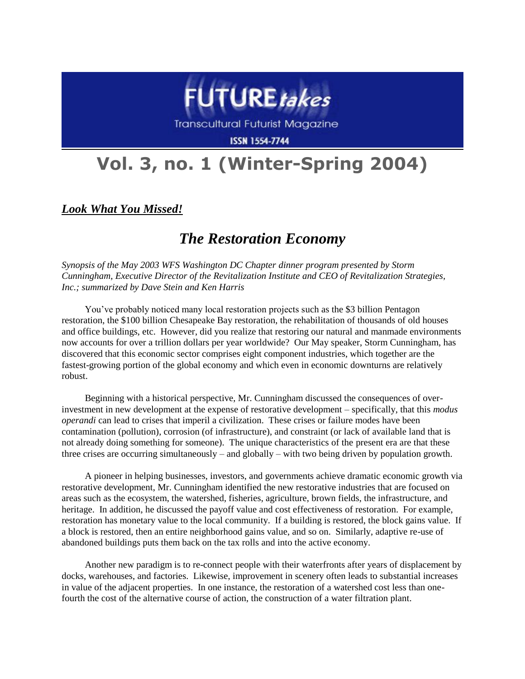

Transcultural Futurist Magazine

**ISSN 1554-7744** 

## **Vol. 3, no. 1 (Winter-Spring 2004)**

*Look What You Missed!*

## *The Restoration Economy*

*Synopsis of the May 2003 WFS Washington DC Chapter dinner program presented by Storm Cunningham, Executive Director of the [Revitalization Institute](http://www.revitalizationinstitute.org/) and CEO of [Revitalization Strategies,](http://www.revitalizationstrategies.com/)  [Inc.;](http://www.revitalizationstrategies.com/) summarized by Dave Stein and Ken Harris*

You've probably noticed many local restoration projects such as the \$3 billion Pentagon restoration, the \$100 billion Chesapeake Bay restoration, the rehabilitation of thousands of old houses and office buildings, etc. However, did you realize that restoring our natural and manmade environments now accounts for over a trillion dollars per year worldwide? Our May speaker, Storm Cunningham, has discovered that this economic sector comprises eight component industries, which together are the fastest-growing portion of the global economy and which even in economic downturns are relatively robust.

Beginning with a historical perspective, Mr. Cunningham discussed the consequences of overinvestment in new development at the expense of restorative development – specifically, that this *modus operandi* can lead to crises that imperil a civilization. These crises or failure modes have been contamination (pollution), corrosion (of infrastructure), and constraint (or lack of available land that is not already doing something for someone). The unique characteristics of the present era are that these three crises are occurring simultaneously – and globally – with two being driven by population growth.

A pioneer in helping businesses, investors, and governments achieve dramatic economic growth via restorative development, Mr. Cunningham identified the new restorative industries that are focused on areas such as the ecosystem, the watershed, fisheries, agriculture, brown fields, the infrastructure, and heritage. In addition, he discussed the payoff value and cost effectiveness of restoration. For example, restoration has monetary value to the local community. If a building is restored, the block gains value. If a block is restored, then an entire neighborhood gains value, and so on. Similarly, adaptive re-use of abandoned buildings puts them back on the tax rolls and into the active economy.

Another new paradigm is to re-connect people with their waterfronts after years of displacement by docks, warehouses, and factories. Likewise, improvement in scenery often leads to substantial increases in value of the adjacent properties. In one instance, the restoration of a watershed cost less than onefourth the cost of the alternative course of action, the construction of a water filtration plant.